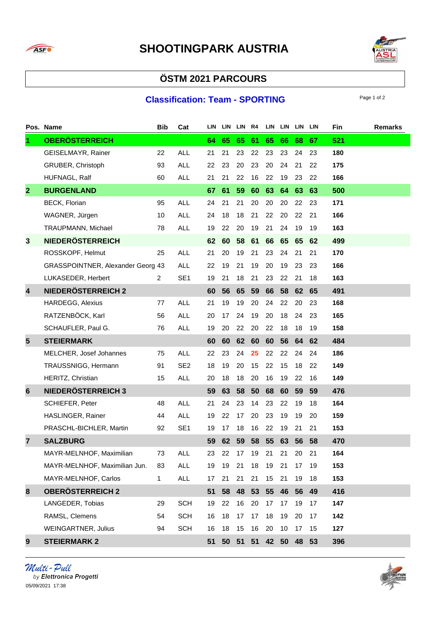



## **ÖSTM 2021 PARCOURS**

## **Classification: Team - SPORTING**

|                         | Pos. Name                         | <b>Bib</b>     | Cat             | LIN |    | LIN LIN R4 |       |       | LIN LIN LIN LIN |    |    | Fin | <b>Remarks</b> |
|-------------------------|-----------------------------------|----------------|-----------------|-----|----|------------|-------|-------|-----------------|----|----|-----|----------------|
| $\blacktriangleleft$    | <b>OBERÖSTERREICH</b>             |                |                 | 64  | 65 | 65         | 61    | 65    | 66              | 68 | 67 | 521 |                |
|                         | GEISELMAYR, Rainer                | 22             | <b>ALL</b>      | 21  | 21 | 23         | 22    | 23    | 23              | 24 | 23 | 180 |                |
|                         | GRUBER, Christoph                 | 93             | <b>ALL</b>      | 22  | 23 | 20         | 23    | 20    | 24              | 21 | 22 | 175 |                |
|                         | HUFNAGL, Ralf                     | 60             | <b>ALL</b>      | 21  | 21 | 22         | 16    | 22    | 19              | 23 | 22 | 166 |                |
| $\mathbf{2}$            | <b>BURGENLAND</b>                 |                |                 | 67  | 61 | 59         | 60    | 63    | 64              | 63 | 63 | 500 |                |
|                         | <b>BECK, Florian</b>              | 95             | <b>ALL</b>      | 24  | 21 | 21         | 20    | 20    | 20              | 22 | 23 | 171 |                |
|                         | WAGNER, Jürgen                    | 10             | <b>ALL</b>      | 24  | 18 | 18         | 21    | 22    | 20              | 22 | 21 | 166 |                |
|                         | TRAUPMANN, Michael                | 78             | <b>ALL</b>      | 19  | 22 | 20         | 19    | 21    | 24              | 19 | 19 | 163 |                |
| $\mathbf{3}$            | <b>NIEDERÖSTERREICH</b>           |                |                 | 62  | 60 | 58         | 61    | 66    | 65              | 65 | 62 | 499 |                |
|                         | ROSSKOPF, Helmut                  | 25             | <b>ALL</b>      | 21  | 20 | 19         | 21    | 23    | 24              | 21 | 21 | 170 |                |
|                         | GRASSPOINTNER, Alexander Georg 43 |                | <b>ALL</b>      | 22  | 19 | 21         | 19    | 20    | 19              | 23 | 23 | 166 |                |
|                         | LUKASEDER, Herbert                | $\overline{2}$ | SE <sub>1</sub> | 19  | 21 | 18         | 21    | 23    | 22              | 21 | 18 | 163 |                |
| $\overline{\mathbf{4}}$ | <b>NIEDERÖSTERREICH 2</b>         |                |                 | 60  | 56 | 65         | 59    | 66    | 58              | 62 | 65 | 491 |                |
|                         | <b>HARDEGG, Alexius</b>           | 77             | <b>ALL</b>      | 21  | 19 | 19         | 20    | 24    | 22              | 20 | 23 | 168 |                |
|                         | RATZENBÖCK, Karl                  | 56             | <b>ALL</b>      | 20  | 17 | 24         | 19    | 20    | 18              | 24 | 23 | 165 |                |
|                         | SCHAUFLER, Paul G.                | 76             | <b>ALL</b>      | 19  | 20 | 22         | 20    | 22    | 18              | 18 | 19 | 158 |                |
| 5                       | <b>STEIERMARK</b>                 |                |                 | 60  | 60 | 62         | 60    | 60    | 56              | 64 | 62 | 484 |                |
|                         | MELCHER, Josef Johannes           | 75             | <b>ALL</b>      | 22  | 23 | 24         | 25    | 22    | 22              | 24 | 24 | 186 |                |
|                         | TRAUSSNIGG, Hermann               | 91             | SE <sub>2</sub> | 18  | 19 | 20         | 15    | 22    | 15              | 18 | 22 | 149 |                |
|                         | HERITZ, Christian                 | 15             | <b>ALL</b>      | 20  | 18 | 18         | 20    | 16    | 19              | 22 | 16 | 149 |                |
| 6                       | <b>NIEDERÖSTERREICH 3</b>         |                |                 | 59  | 63 | 58         | 50    | 68    | 60              | 59 | 59 | 476 |                |
|                         | SCHIEFER, Peter                   | 48             | <b>ALL</b>      | 21  | 24 | 23         | 14    | 23    | 22              | 19 | 18 | 164 |                |
|                         | HASLINGER, Rainer                 | 44             | <b>ALL</b>      | 19  | 22 | 17         | 20    | 23    | 19              | 19 | 20 | 159 |                |
|                         | PRASCHL-BICHLER, Martin           | 92             | SE <sub>1</sub> | 19  | 17 | 18         | 16    | 22    | 19              | 21 | 21 | 153 |                |
| $\overline{7}$          | <b>SALZBURG</b>                   |                |                 | 59  | 62 | 59         | 58    | 55    | 63              | 56 | 58 | 470 |                |
|                         | MAYR-MELNHOF, Maximilian          | 73             | <b>ALL</b>      | 23  | 22 | 17         | 19    | 21    | 21              | 20 | 21 | 164 |                |
|                         | MAYR-MELNHOF, Maximilian Jun.     | 83             | <b>ALL</b>      | 19  | 19 | 21         | 18    | 19    | 21              | 17 | 19 | 153 |                |
|                         | MAYR-MELNHOF, Carlos              | $\mathbf{1}$   | ALL             | 17  | 21 | 21         | 21    | 15    | 21              | 19 | 18 | 153 |                |
| 8                       | <b>OBERÖSTERREICH 2</b>           |                |                 | 51  | 58 |            | 48 53 |       | 55 46 56        |    | 49 | 416 |                |
|                         | LANGEDER, Tobias                  | 29             | <b>SCH</b>      | 19  | 22 | 16         | 20    | 17    | 17              | 19 | 17 | 147 |                |
|                         | RAMSL, Clemens                    | 54             | <b>SCH</b>      | 16  | 18 | 17         | 17    | 18    | 19              | 20 | 17 | 142 |                |
|                         | <b>WEINGARTNER, Julius</b>        | 94             | <b>SCH</b>      | 16  | 18 | 15         | 16    | 20    | 10              | 17 | 15 | 127 |                |
| 9                       | <b>STEIERMARK 2</b>               |                |                 | 51  | 50 | 51         | 51    | 42 50 |                 | 48 | 53 | 396 |                |